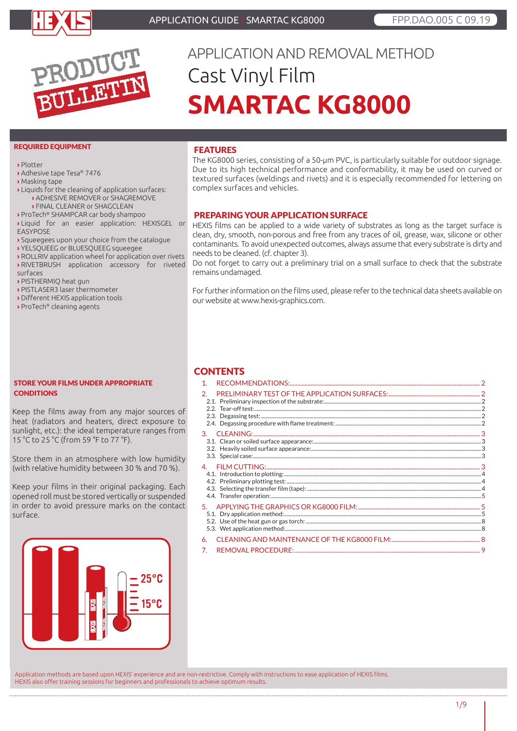



# APPLICATION AND REMOVAL METHOD Cast Vinyl Film **SMARTAC KG8000**

#### REQUIRED EQUIPMENT

**›** Plotter

- **›** Adhesive tape Tesa® 7476
- **›** Masking tape
- **›** Liquids for the cleaning of application surfaces:
	- **›** ADHESIVE REMOVER or SHAGREMOVE
	- **›** FINAL CLEANER or SHAGCLEAN
- **›** ProTech® SHAMPCAR car body shampoo
- **›** Liquid for an easier application: HEXISGEL or EASYPOSE
- **›** Squeegees upon your choice from the catalogue
- **›** YELSQUEEG or BLUESQUEEG squeegee
- **›** ROLLRIV application wheel for application over rivets **›** RIVETBRUSH application accessory for riveted surfaces
- **›** PISTHERMIQ heat gun
- **›** PISTLASER3 laser thermometer
- **›** Different HEXIS application tools
- **›** ProTech® cleaning agents

#### STORE YOUR FILMS UNDER APPROPRIATE **CONDITIONS**

Keep the films away from any major sources of heat (radiators and heaters, direct exposure to sunlight, etc.): the ideal temperature ranges from 15 °C to 25 °C (from 59 °F to 77 °F).

Store them in an atmosphere with low humidity (with relative humidity between 30 % and 70 %).

Keep your films in their original packaging. Each opened roll must be stored vertically or suspended in order to avoid pressure marks on the contact surface.



# FEATURES

The KG8000 series, consisting of a 50-μm PVC, is particularly suitable for outdoor signage. Due to its high technical performance and conformability, it may be used on curved or textured surfaces (weldings and rivets) and it is especially recommended for lettering on complex surfaces and vehicles.

# PREPARING YOUR APPLICATION SURFACE

HEXIS films can be applied to a wide variety of substrates as long as the target surface is clean, dry, smooth, non-porous and free from any traces of oil, grease, wax, silicone or other contaminants. To avoid unexpected outcomes, always assume that every substrate is dirty and needs to be cleaned. (cf. chapter 3).

Do not forget to carry out a preliminary trial on a small surface to check that the substrate remains undamaged.

For further information on the films used, please refer to the technical data sheets available on our website at www.hexis-graphics.com.

# **CONTENTS**

| 1 <sub>1</sub> |  |
|----------------|--|
| 2.             |  |
|                |  |
| 4.             |  |
|                |  |
| 6.<br>7.       |  |
|                |  |

Application methods are based upon HEXIS' experience and are non-restrictive. Comply with instructions to ease application of HEXIS films. HEXIS also offer training sessions for beginners and professionals to achieve optimum results. 

1/9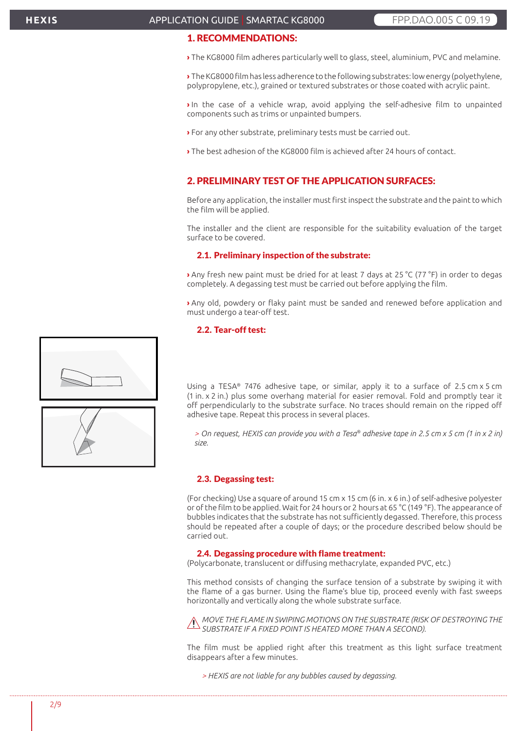# 1. RECOMMENDATIONS:

**›** The KG8000 film adheres particularly well to glass, steel, aluminium, PVC and melamine.

**›** The KG8000 film has less adherence to the following substrates: low energy (polyethylene, polypropylene, etc.), grained or textured substrates or those coated with acrylic paint.

**›** In the case of a vehicle wrap, avoid applying the self-adhesive film to unpainted components such as trims or unpainted bumpers.

**›** For any other substrate, preliminary tests must be carried out.

**›** The best adhesion of the KG8000 film is achieved after 24 hours of contact.

# 2. PRELIMINARY TEST OF THE APPLICATION SURFACES:

Before any application, the installer must first inspect the substrate and the paint to which the film will be applied.

The installer and the client are responsible for the suitability evaluation of the target surface to be covered.

#### 2.1. Preliminary inspection of the substrate:

**›** Any fresh new paint must be dried for at least 7 days at 25 °C (77 °F) in order to degas completely. A degassing test must be carried out before applying the film.

**›** Any old, powdery or flaky paint must be sanded and renewed before application and must undergo a tear-off test.

### 2.2. Tear-off test:



Using a TESA® 7476 adhesive tape, or similar, apply it to a surface of 2.5 cm x 5 cm (1 in. x 2 in.) plus some overhang material for easier removal. Fold and promptly tear it off perpendicularly to the substrate surface. No traces should remain on the ripped off adhesive tape. Repeat this process in several places.

*> On request, HEXIS can provide you with a Tesa® adhesive tape in 2.5 cm x 5 cm (1 in x 2 in) size.*

#### 2.3. Degassing test:

(For checking) Use a square of around 15 cm x 15 cm (6 in. x 6 in.) of self-adhesive polyester or of the film to be applied. Wait for 24 hours or 2 hours at 65 °C (149 °F). The appearance of bubbles indicates that the substrate has not sufficiently degassed. Therefore, this process should be repeated after a couple of days; or the procedure described below should be carried out.

#### 2.4. Degassing procedure with flame treatment:

(Polycarbonate, translucent or diffusing methacrylate, expanded PVC, etc.)

This method consists of changing the surface tension of a substrate by swiping it with the flame of a gas burner. Using the flame's blue tip, proceed evenly with fast sweeps horizontally and vertically along the whole substrate surface.

*MOVE THE FLAME IN SWIPING MOTIONS ON THE SUBSTRATE (RISK OF DESTROYING THE SUBSTRATE IF A FIXED POINT IS HEATED MORE THAN A SECOND).*

The film must be applied right after this treatment as this light surface treatment disappears after a few minutes.

*> HEXIS are not liable for any bubbles caused by degassing.*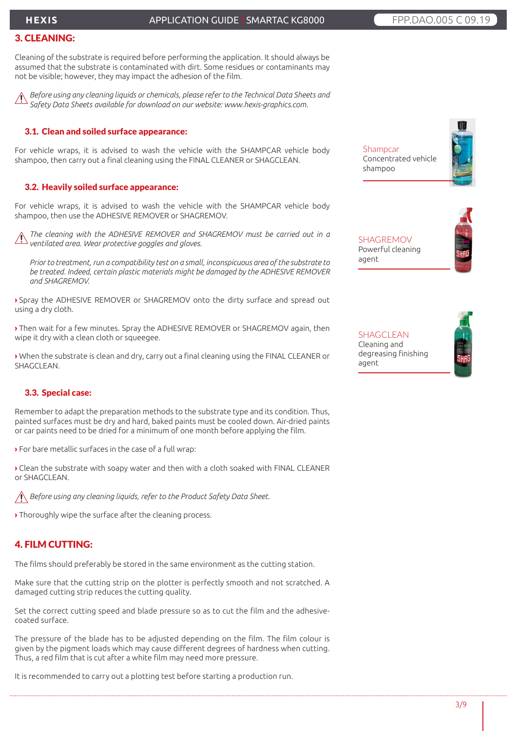# **HEXIS**

# APPLICATION GUIDE | SMARTAC KG8000 FRP.DAO.005 C 09.19

# 3. CLEANING:

Cleaning of the substrate is required before performing the application. It should always be assumed that the substrate is contaminated with dirt. Some residues or contaminants may not be visible; however, they may impact the adhesion of the film.

*Before using any cleaning liquids or chemicals, please refer to the Technical Data Sheets and Safety Data Sheets available for download on our website: www.hexis-graphics.com.*

### 3.1. Clean and soiled surface appearance:

For vehicle wraps, it is advised to wash the vehicle with the SHAMPCAR vehicle body shampoo, then carry out a final cleaning using the FINAL CLEANER or SHAGCLEAN.

### 3.2. Heavily soiled surface appearance:

For vehicle wraps, it is advised to wash the vehicle with the SHAMPCAR vehicle body shampoo, then use the ADHESIVE REMOVER or SHAGREMOV.

*The cleaning with the ADHESIVE REMOVER and SHAGREMOV must be carried out in a ventilated area. Wear protective goggles and gloves.*

*Prior to treatment, run a compatibility test on a small, inconspicuous area of the substrate to be treated. Indeed, certain plastic materials might be damaged by the ADHESIVE REMOVER and SHAGREMOV.*

**›** Spray the ADHESIVE REMOVER or SHAGREMOV onto the dirty surface and spread out using a dry cloth.

**›** Then wait for a few minutes. Spray the ADHESIVE REMOVER or SHAGREMOV again, then wipe it dry with a clean cloth or squeegee.

**›** When the substrate is clean and dry, carry out a final cleaning using the FINAL CLEANER or SHAGCLEAN.

## 3.3. Special case:

Remember to adapt the preparation methods to the substrate type and its condition. Thus, painted surfaces must be dry and hard, baked paints must be cooled down. Air-dried paints or car paints need to be dried for a minimum of one month before applying the film.

**›** For bare metallic surfaces in the case of a full wrap:

**›** Clean the substrate with soapy water and then with a cloth soaked with FINAL CLEANER or SHAGCLEAN.

*Before using any cleaning liquids, refer to the Product Safety Data Sheet.*

**›** Thoroughly wipe the surface after the cleaning process.

# 4. FILM CUTTING:

The films should preferably be stored in the same environment as the cutting station.

Make sure that the cutting strip on the plotter is perfectly smooth and not scratched. A damaged cutting strip reduces the cutting quality.

Set the correct cutting speed and blade pressure so as to cut the film and the adhesivecoated surface.

The pressure of the blade has to be adjusted depending on the film. The film colour is given by the pigment loads which may cause different degrees of hardness when cutting. Thus, a red film that is cut after a white film may need more pressure.

It is recommended to carry out a plotting test before starting a production run.

**Shampcar** Concentrated vehicle shampoo

SHAGREMOV Powerful cleaning agent



SHAGCLEAN Cleaning and degreasing finishing agent

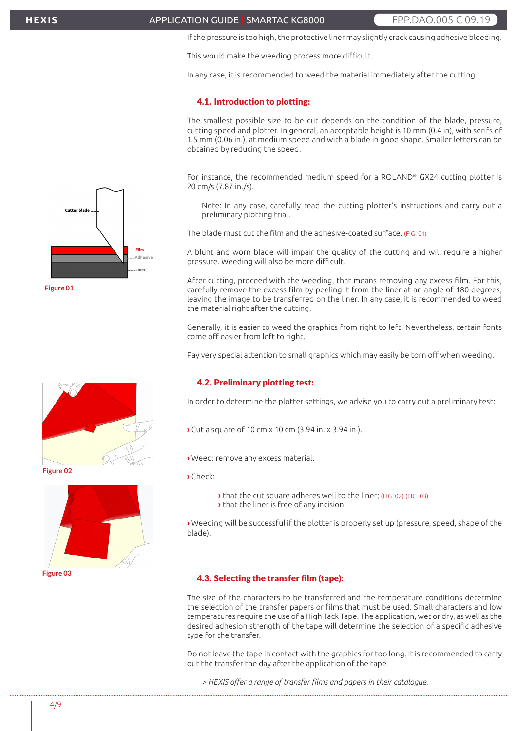#### APPLICATION GUIDE | SMARTAC KG8000 FRPP.DAO.005 C 09.19

If the pressure is too high, the protective liner may slightly crack causing adhesive bleeding.

This would make the weeding process more difficult.

In any case, it is recommended to weed the material immediately after the cutting.

#### 4.1. Introduction to plotting:

The smallest possible size to be cut depends on the condition of the blade, pressure, cutting speed and plotter. In general, an acceptable height is 10 mm (0.4 in), with serifs of 1.5 mm (0.06 in.), at medium speed and with a blade in good shape. Smaller letters can be obtained by reducing the speed.

For instance, the recommended medium speed for a ROLAND® GX24 cutting plotter is 20 cm/s (7.87 in./s).

Note: In any case, carefully read the cutting plotter's instructions and carry out a preliminary plotting trial.

The blade must cut the film and the adhesive-coated surface. (FIG. 01)

A blunt and worn blade will impair the quality of the cutting and will require a higher pressure. Weeding will also be more difficult.

After cutting, proceed with the weeding, that means removing any excess film. For this, carefully remove the excess film by peeling it from the liner at an angle of 180 degrees, leaving the image to be transferred on the liner. In any case, it is recommended to weed the material right after the cutting.

Generally, it is easier to weed the graphics from right to left. Nevertheless, certain fonts come off easier from left to right.

Pay very special attention to small graphics which may easily be torn off when weeding.

#### 4.2. Preliminary plotting test:

In order to determine the plotter settings, we advise you to carry out a preliminary test:

- **›** Cut a square of 10 cm x 10 cm (3.94 in. x 3.94 in.).
- **›** Weed: remove any excess material.
- **›** Check:
	- **›** that the cut square adheres well to the liner; (FIG. 02) (FIG. 03)
	- **›** that the liner is free of any incision.

**›** Weeding will be successful if the plotter is properly set up (pressure, speed, shape of the blade).

#### 4.3. Selecting the transfer film (tape):

The size of the characters to be transferred and the temperature conditions determine the selection of the transfer papers or films that must be used. Small characters and low temperatures require the use of a High Tack Tape. The application, wet or dry, as well as the desired adhesion strength of the tape will determine the selection of a specific adhesive type for the transfer.

Do not leave the tape in contact with the graphics for too long. It is recommended to carry out the transfer the day after the application of the tape.

*> HEXIS offer a range of transfer films and papers in their catalogue.* 







**Figure 02**

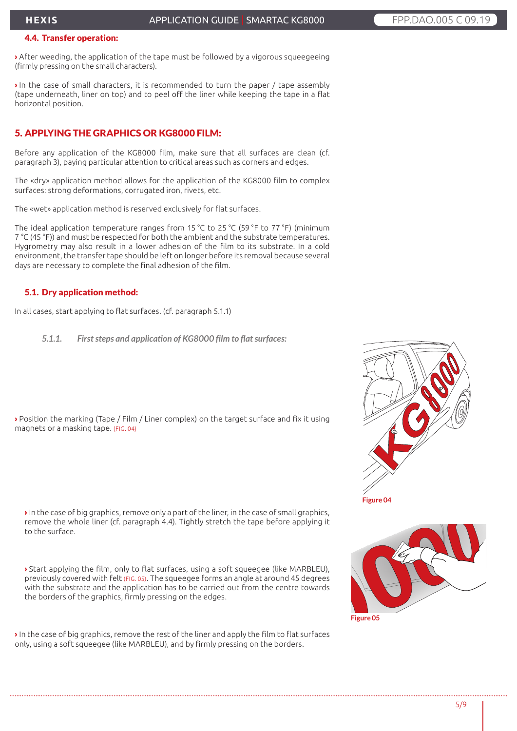#### 4.4. Transfer operation:

**›** After weeding, the application of the tape must be followed by a vigorous squeegeeing (firmly pressing on the small characters).

**›** In the case of small characters, it is recommended to turn the paper / tape assembly (tape underneath, liner on top) and to peel off the liner while keeping the tape in a flat horizontal position.

# 5. APPLYING THE GRAPHICS OR KG8000 FILM:

Before any application of the KG8000 film, make sure that all surfaces are clean (cf. paragraph 3), paying particular attention to critical areas such as corners and edges.

The «dry» application method allows for the application of the KG8000 film to complex surfaces: strong deformations, corrugated iron, rivets, etc.

The «wet» application method is reserved exclusively for flat surfaces.

The ideal application temperature ranges from 15 °C to 25 °C (59 °F to 77 °F) (minimum 7 °C (45 °F)) and must be respected for both the ambient and the substrate temperatures. Hygrometry may also result in a lower adhesion of the film to its substrate. In a cold environment, the transfer tape should be left on longer before its removal because several days are necessary to complete the final adhesion of the film.

# 5.1. Dry application method:

In all cases, start applying to flat surfaces. (cf. paragraph 5.1.1)

*5.1.1. First steps and application of KG8000 film to flat surfaces:*

**›** Position the marking (Tape / Film / Liner complex) on the target surface and fix it using magnets or a masking tape. (FIG. 04)

**›** In the case of big graphics, remove only a part of the liner, in the case of small graphics, remove the whole liner (cf. paragraph 4.4). Tightly stretch the tape before applying it to the surface.

**›** Start applying the film, only to flat surfaces, using a soft squeegee (like MARBLEU), previously covered with felt (FIG. 05). The squeegee forms an angle at around 45 degrees with the substrate and the application has to be carried out from the centre towards the borders of the graphics, firmly pressing on the edges.

**›** In the case of big graphics, remove the rest of the liner and apply the film to flat surfaces only, using a soft squeegee (like MARBLEU), and by firmly pressing on the borders.



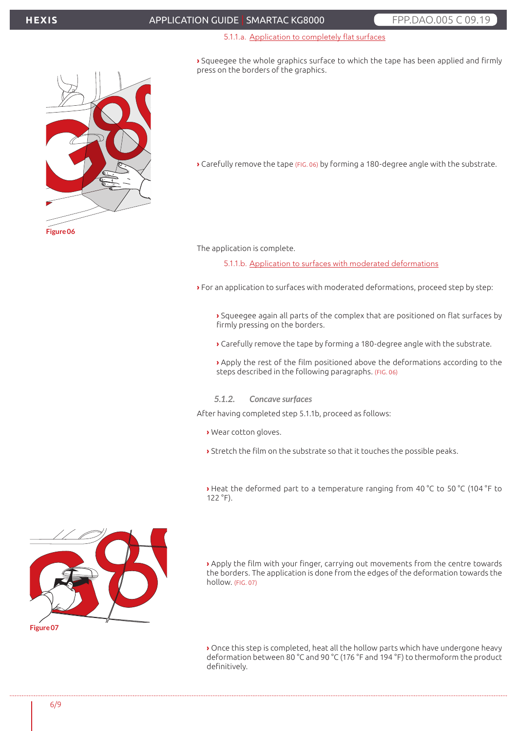# APPLICATION GUIDE | SMARTAC KG8000 FRPP.DAO.005 C 09.19

#### 5.1.1.a. Application to completely flat surfaces

**›** Squeegee the whole graphics surface to which the tape has been applied and firmly press on the borders of the graphics.



**›** Carefully remove the tape (FIG. 06) by forming a 180-degree angle with the substrate.

The application is complete.

5.1.1.b. Application to surfaces with moderated deformations

- **›** For an application to surfaces with moderated deformations, proceed step by step:
	- **›** Squeegee again all parts of the complex that are positioned on flat surfaces by firmly pressing on the borders.
	- **›** Carefully remove the tape by forming a 180-degree angle with the substrate.
	- **›** Apply the rest of the film positioned above the deformations according to the steps described in the following paragraphs. (FIG. 06)
	- *5.1.2. Concave surfaces*

After having completed step 5.1.1b, proceed as follows:

- **›** Wear cotton gloves.
- **›** Stretch the film on the substrate so that it touches the possible peaks.

**›** Heat the deformed part to a temperature ranging from 40 °C to 50 °C (104 °F to  $122 °F$ ).

**›** Apply the film with your finger, carrying out movements from the centre towards the borders. The application is done from the edges of the deformation towards the hollow. (FIG. 07)

**›** Once this step is completed, heat all the hollow parts which have undergone heavy deformation between 80 °C and 90 °C (176 °F and 194 °F) to thermoform the product definitively.

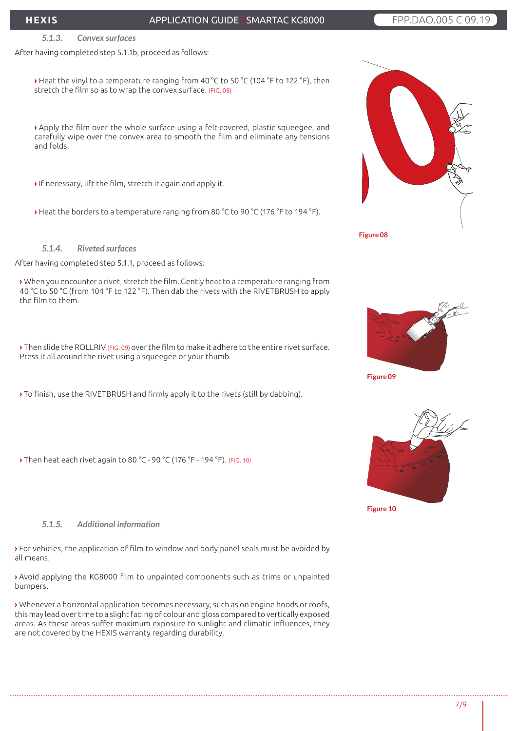# APPLICATION GUIDE | SMARTAC KG8000 FRP.DAO.005 C 09.19

#### *5.1.3. Convex surfaces*

After having completed step 5.1.1b, proceed as follows:

**›** Heat the vinyl to a temperature ranging from 40 °C to 50 °C (104 °F to 122 °F), then stretch the film so as to wrap the convex surface. (FIG. 08)

**›** Apply the film over the whole surface using a felt-covered, plastic squeegee, and carefully wipe over the convex area to smooth the film and eliminate any tensions and folds.

**›** If necessary, lift the film, stretch it again and apply it.

**›** Heat the borders to a temperature ranging from 80 °C to 90 °C (176 °F to 194 °F).

*5.1.4. Riveted surfaces*

After having completed step 5.1.1, proceed as follows:

**›** When you encounter a rivet, stretch the film. Gently heat to a temperature ranging from 40 °C to 50 °C (from 104 °F to 122 °F). Then dab the rivets with the RIVETBRUSH to apply the film to them.

**›** Then slide the ROLLRIV (FIG. 09) over the film to make it adhere to the entire rivet surface. Press it all around the rivet using a squeegee or your thumb.

**›** To finish, use the RIVETBRUSH and firmly apply it to the rivets (still by dabbing).

**›** Then heat each rivet again to 80 °C - 90 °C (176 °F - 194 °F). (FIG. 10)







*5.1.5. Additional information*

**›** For vehicles, the application of film to window and body panel seals must be avoided by all means.

**›** Avoid applying the KG8000 film to unpainted components such as trims or unpainted bumpers.

**›** Whenever a horizontal application becomes necessary, such as on engine hoods or roofs, this may lead over time to a slight fading of colour and gloss compared to vertically exposed areas. As these areas suffer maximum exposure to sunlight and climatic influences, they are not covered by the HEXIS warranty regarding durability.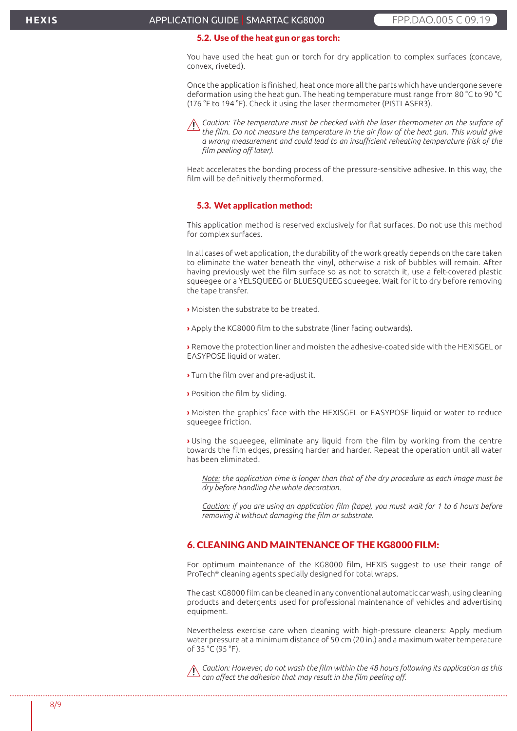#### 5.2. Use of the heat gun or gas torch:

You have used the heat gun or torch for dry application to complex surfaces (concave, convex, riveted).

Once the application is finished, heat once more all the parts which have undergone severe deformation using the heat gun. The heating temperature must range from 80 °C to 90 °C (176 °F to 194 °F). Check it using the laser thermometer (PISTLASER3).



*Caution: The temperature must be checked with the laser thermometer on the surface of the film. Do not measure the temperature in the air flow of the heat gun. This would give a wrong measurement and could lead to an insufficient reheating temperature (risk of the film peeling off later).*

Heat accelerates the bonding process of the pressure-sensitive adhesive. In this way, the film will be definitively thermoformed.

#### 5.3. Wet application method:

This application method is reserved exclusively for flat surfaces. Do not use this method for complex surfaces.

In all cases of wet application, the durability of the work greatly depends on the care taken to eliminate the water beneath the vinyl, otherwise a risk of bubbles will remain. After having previously wet the film surface so as not to scratch it, use a felt-covered plastic squeegee or a YELSQUEEG or BLUESQUEEG squeegee. Wait for it to dry before removing the tape transfer.

- **›** Moisten the substrate to be treated.
- **›** Apply the KG8000 film to the substrate (liner facing outwards).

**›** Remove the protection liner and moisten the adhesive-coated side with the HEXISGEL or EASYPOSE liquid or water.

- **›** Turn the film over and pre-adjust it.
- **›** Position the film by sliding.

**›** Moisten the graphics' face with the HEXISGEL or EASYPOSE liquid or water to reduce squeegee friction.

**›** Using the squeegee, eliminate any liquid from the film by working from the centre towards the film edges, pressing harder and harder. Repeat the operation until all water has been eliminated.

*Note: the application time is longer than that of the dry procedure as each image must be dry before handling the whole decoration.*

*Caution: if you are using an application film (tape), you must wait for 1 to 6 hours before removing it without damaging the film or substrate.*

# 6. CLEANING AND MAINTENANCE OF THE KG8000 FILM:

For optimum maintenance of the KG8000 film, HEXIS suggest to use their range of ProTech® cleaning agents specially designed for total wraps.

The cast KG8000 film can be cleaned in any conventional automatic car wash, using cleaning products and detergents used for professional maintenance of vehicles and advertising equipment.

Nevertheless exercise care when cleaning with high-pressure cleaners: Apply medium water pressure at a minimum distance of 50 cm (20 in.) and a maximum water temperature of 35 °C (95 °F).

*Caution: However, do not wash the film within the 48 hours following its application as this can affect the adhesion that may result in the film peeling off.*